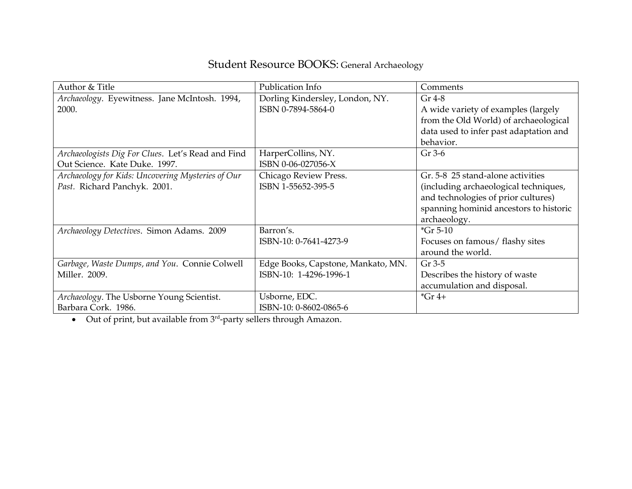## Student Resource BOOKS: General Archaeology

| Author & Title                                    | Publication Info                   | Comments                               |
|---------------------------------------------------|------------------------------------|----------------------------------------|
| Archaeology. Eyewitness. Jane McIntosh. 1994,     | Dorling Kindersley, London, NY.    | $Gr 4-8$                               |
| 2000.                                             | ISBN 0-7894-5864-0                 | A wide variety of examples (largely    |
|                                                   |                                    | from the Old World) of archaeological  |
|                                                   |                                    | data used to infer past adaptation and |
|                                                   |                                    | behavior.                              |
| Archaeologists Dig For Clues. Let's Read and Find | HarperCollins, NY.                 | Gr 3-6                                 |
| Out Science. Kate Duke. 1997.                     | ISBN 0-06-027056-X                 |                                        |
| Archaeology for Kids: Uncovering Mysteries of Our | Chicago Review Press.              | Gr. 5-8 25 stand-alone activities      |
| Past. Richard Panchyk. 2001.                      | ISBN 1-55652-395-5                 | (including archaeological techniques,  |
|                                                   |                                    | and technologies of prior cultures)    |
|                                                   |                                    | spanning hominid ancestors to historic |
|                                                   |                                    | archaeology.                           |
| Archaeology Detectives. Simon Adams. 2009         | Barron's.                          | $*$ Gr 5-10                            |
|                                                   | ISBN-10: 0-7641-4273-9             | Focuses on famous/ flashy sites        |
|                                                   |                                    | around the world.                      |
| Garbage, Waste Dumps, and You. Connie Colwell     | Edge Books, Capstone, Mankato, MN. | Gr 3-5                                 |
| Miller. 2009.                                     | ISBN-10: 1-4296-1996-1             | Describes the history of waste         |
|                                                   |                                    | accumulation and disposal.             |
| Archaeology. The Usborne Young Scientist.         | Usborne, EDC.                      | $*$ Gr 4+                              |
| Barbara Cork. 1986.                               | ISBN-10: 0-8602-0865-6             |                                        |

 $\bullet$  Out of print, but available from  $3<sup>rd</sup>$ -party sellers through Amazon.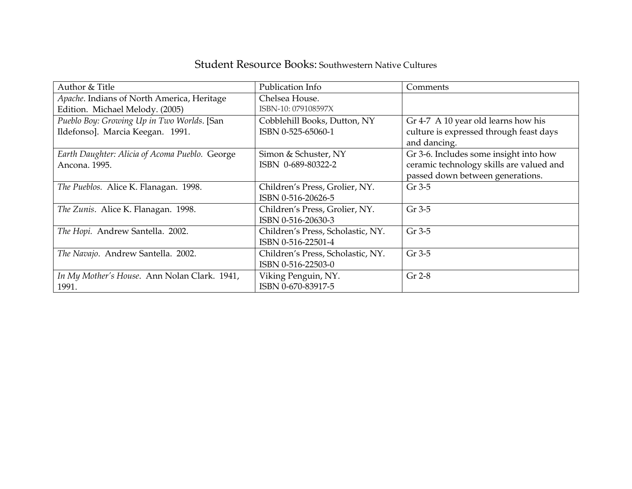## Student Resource Books: Southwestern Native Cultures

| Author & Title                                 | Publication Info                  | Comments                                 |
|------------------------------------------------|-----------------------------------|------------------------------------------|
| Apache. Indians of North America, Heritage     | Chelsea House.                    |                                          |
| Edition. Michael Melody. (2005)                | ISBN-10: 079108597X               |                                          |
| Pueblo Boy: Growing Up in Two Worlds. [San     | Cobblehill Books, Dutton, NY      | Gr 4-7 A 10 year old learns how his      |
| Ildefonso]. Marcia Keegan. 1991.               | ISBN 0-525-65060-1                | culture is expressed through feast days  |
|                                                |                                   | and dancing.                             |
| Earth Daughter: Alicia of Acoma Pueblo. George | Simon & Schuster, NY              | Gr 3-6. Includes some insight into how   |
| Ancona. 1995.                                  | ISBN 0-689-80322-2                | ceramic technology skills are valued and |
|                                                |                                   | passed down between generations.         |
| The Pueblos. Alice K. Flanagan. 1998.          | Children's Press, Grolier, NY.    | $Gr 3-5$                                 |
|                                                | ISBN 0-516-20626-5                |                                          |
| The Zunis. Alice K. Flanagan. 1998.            | Children's Press, Grolier, NY.    | Gr 3-5                                   |
|                                                | ISBN 0-516-20630-3                |                                          |
| The Hopi. Andrew Santella. 2002.               | Children's Press, Scholastic, NY. | Gr 3-5                                   |
|                                                | ISBN 0-516-22501-4                |                                          |
| The Navajo. Andrew Santella. 2002.             | Children's Press, Scholastic, NY. | Gr 3-5                                   |
|                                                | ISBN 0-516-22503-0                |                                          |
| In My Mother's House. Ann Nolan Clark. 1941,   | Viking Penguin, NY.               | Gr 2-8                                   |
| 1991.                                          | ISBN 0-670-83917-5                |                                          |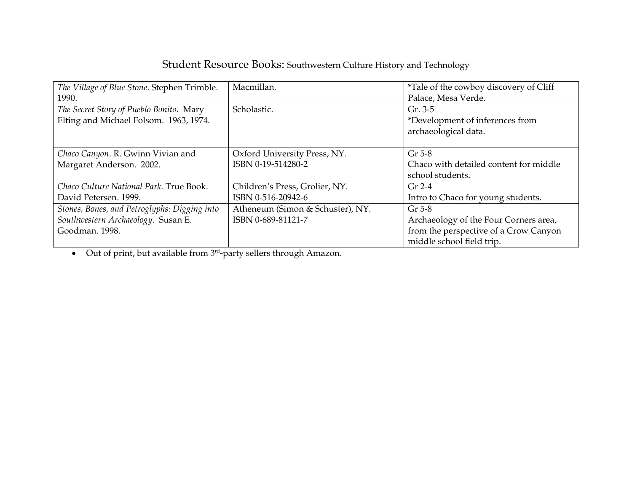| Student Resource Books: Southwestern Culture History and Technology |  |
|---------------------------------------------------------------------|--|
|---------------------------------------------------------------------|--|

| The Village of Blue Stone. Stephen Trimble.  | Macmillan.                       | <i>*Tale of the cowboy discovery of Cliff</i> |
|----------------------------------------------|----------------------------------|-----------------------------------------------|
| 1990.                                        |                                  | Palace, Mesa Verde.                           |
| The Secret Story of Pueblo Bonito. Mary      | Scholastic.                      | $Gr. 3-5$                                     |
| Elting and Michael Folsom. 1963, 1974.       |                                  | *Development of inferences from               |
|                                              |                                  | archaeological data.                          |
|                                              |                                  |                                               |
| Chaco Canyon. R. Gwinn Vivian and            | Oxford University Press, NY.     | $Gr 5-8$                                      |
| Margaret Anderson. 2002.                     | ISBN 0-19-514280-2               | Chaco with detailed content for middle        |
|                                              |                                  | school students.                              |
| Chaco Culture National Park. True Book.      | Children's Press, Grolier, NY.   | $Gr 2-4$                                      |
| David Petersen. 1999.                        | ISBN 0-516-20942-6               | Intro to Chaco for young students.            |
| Stones, Bones, and Petroglyphs: Digging into | Atheneum (Simon & Schuster), NY. | $Gr 5-8$                                      |
| Southwestern Archaeology. Susan E.           | ISBN 0-689-81121-7               | Archaeology of the Four Corners area,         |
| Goodman. 1998.                               |                                  | from the perspective of a Crow Canyon         |
|                                              |                                  | middle school field trip.                     |

 $\bullet$  Out of print, but available from  $3<sup>rd</sup>$ -party sellers through Amazon.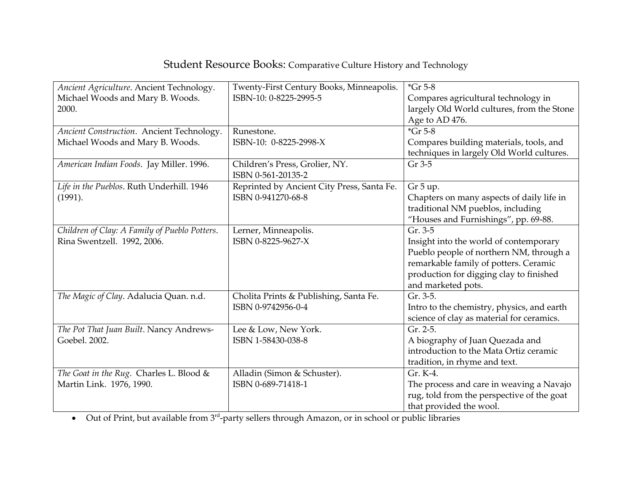## Student Resource Books: Comparative Culture History and Technology

| Ancient Agriculture. Ancient Technology.<br>Michael Woods and Mary B. Woods.<br>2000. | Twenty-First Century Books, Minneapolis.<br>ISBN-10: 0-8225-2995-5 | $*$ Gr 5-8<br>Compares agricultural technology in<br>largely Old World cultures, from the Stone |
|---------------------------------------------------------------------------------------|--------------------------------------------------------------------|-------------------------------------------------------------------------------------------------|
|                                                                                       |                                                                    | Age to AD 476.                                                                                  |
| Ancient Construction. Ancient Technology.                                             | Runestone.                                                         | $*$ Gr 5-8                                                                                      |
| Michael Woods and Mary B. Woods.                                                      | ISBN-10: 0-8225-2998-X                                             | Compares building materials, tools, and<br>techniques in largely Old World cultures.            |
| American Indian Foods. Jay Miller. 1996.                                              | Children's Press, Grolier, NY.<br>ISBN 0-561-20135-2               | Gr 3-5                                                                                          |
| Life in the Pueblos. Ruth Underhill. 1946                                             | Reprinted by Ancient City Press, Santa Fe.                         | Gr 5 up.                                                                                        |
| (1991).                                                                               | ISBN 0-941270-68-8                                                 | Chapters on many aspects of daily life in                                                       |
|                                                                                       |                                                                    | traditional NM pueblos, including                                                               |
|                                                                                       |                                                                    | "Houses and Furnishings", pp. 69-88.                                                            |
| Children of Clay: A Family of Pueblo Potters.                                         | Lerner, Minneapolis.                                               | Gr. 3-5                                                                                         |
| Rina Swentzell. 1992, 2006.                                                           | ISBN 0-8225-9627-X                                                 | Insight into the world of contemporary                                                          |
|                                                                                       |                                                                    | Pueblo people of northern NM, through a                                                         |
|                                                                                       |                                                                    | remarkable family of potters. Ceramic                                                           |
|                                                                                       |                                                                    | production for digging clay to finished                                                         |
|                                                                                       |                                                                    | and marketed pots.<br>Gr. 3-5.                                                                  |
| The Magic of Clay. Adalucia Quan. n.d.                                                | Cholita Prints & Publishing, Santa Fe.<br>ISBN 0-9742956-0-4       |                                                                                                 |
|                                                                                       |                                                                    | Intro to the chemistry, physics, and earth<br>science of clay as material for ceramics.         |
| The Pot That Juan Built. Nancy Andrews-                                               | Lee & Low, New York.                                               | Gr. 2-5.                                                                                        |
| Goebel. 2002.                                                                         | ISBN 1-58430-038-8                                                 | A biography of Juan Quezada and                                                                 |
|                                                                                       |                                                                    | introduction to the Mata Ortiz ceramic                                                          |
|                                                                                       |                                                                    | tradition, in rhyme and text.                                                                   |
| The Goat in the Rug. Charles L. Blood &                                               | Alladin (Simon & Schuster).                                        | Gr. K-4.                                                                                        |
| Martin Link. 1976, 1990.                                                              | ISBN 0-689-71418-1                                                 | The process and care in weaving a Navajo                                                        |
|                                                                                       |                                                                    | rug, told from the perspective of the goat                                                      |
|                                                                                       |                                                                    | that provided the wool.                                                                         |

 $\bullet$  Out of Print, but available from 3<sup>rd</sup>-party sellers through Amazon, or in school or public libraries